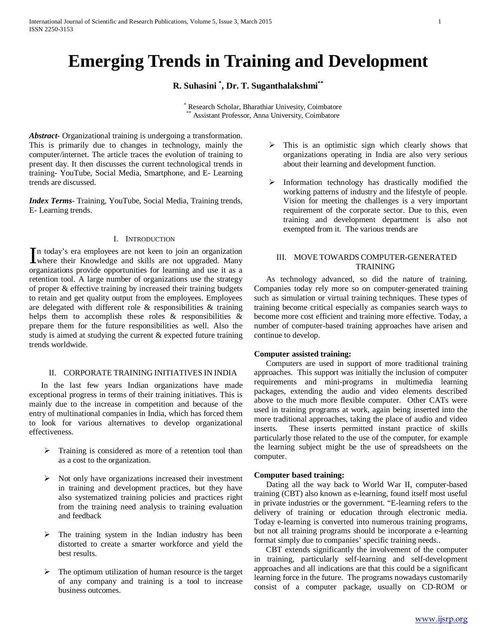# **Emerging Trends in Training and Development**

# **R. Suhasini \* , Dr. T. Suganthalakshmi\*\***

\* Research Scholar, Bharathiar Univesity, Coimbatore Assistant Professor, Anna University, Coimbatore

*Abstract***-** Organizational training is undergoing a transformation. This is primarily due to changes in technology, mainly the computer/internet. The article traces the evolution of training to present day. It then discusses the current technological trends in training- YouTube, Social Media, Smartphone, and E- Learning trends are discussed.

*Index Terms*- Training, YouTube, Social Media, Training trends, E- Learning trends.

# I. INTRODUCTION

n today's era employees are not keen to join an organization In today's era employees are not keen to join an organization<br>where their Knowledge and skills are not upgraded. Many organizations provide opportunities for learning and use it as a retention tool. A large number of organizations use the strategy of proper & effective training by increased their training budgets to retain and get quality output from the employees. Employees are delegated with different role & responsibilities & training helps them to accomplish these roles  $\&$  responsibilities  $\&$ prepare them for the future responsibilities as well. Also the study is aimed at studying the current & expected future training trends worldwide.

#### II. CORPORATE TRAINING INITIATIVES IN INDIA

 In the last few years Indian organizations have made exceptional progress in terms of their training initiatives. This is mainly due to the increase in competition and because of the entry of multinational companies in India, which has forced them to look for various alternatives to develop organizational effectiveness.

- $\triangleright$  Training is considered as more of a retention tool than as a cost to the organization.
- $\triangleright$  Not only have organizations increased their investment in training and development practices, but they have also systematized training policies and practices right from the training need analysis to training evaluation and feedback
- The training system in the Indian industry has been distorted to create a smarter workforce and yield the best results.
- $\triangleright$  The optimum utilization of human resource is the target of any company and training is a tool to increase business outcomes.
- $\triangleright$  This is an optimistic sign which clearly shows that organizations operating in India are also very serious about their learning and development function.
- $\triangleright$  Information technology has drastically modified the working patterns of industry and the lifestyle of people. Vision for meeting the challenges is a very important requirement of the corporate sector. Due to this, even training and development department is also not exempted from it. The various trends are

### III. MOVE TOWARDS COMPUTER-GENERATED TRAINING

 As technology advanced, so did the nature of training. Companies today rely more so on computer-generated training such as simulation or virtual training techniques. These types of training become critical especially as companies search ways to become more cost efficient and training more effective. Today, a number of computer-based training approaches have arisen and continue to develop.

### **Computer assisted training:**

 Computers are used in support of more traditional training approaches. This support was initially the inclusion of computer requirements and mini-programs in multimedia learning packages, extending the audio and video elements described above to the much more flexible computer. Other CATs were used in training programs at work, again being inserted into the more traditional approaches, taking the place of audio and video inserts. These inserts permitted instant practice of skills particularly those related to the use of the computer, for example the learning subject might be the use of spreadsheets on the computer.

### **Computer based training:**

 Dating all the way back to World War II, computer-based training (CBT) also known as e-learning, found itself most useful in private industries or the government. "E-learning refers to the delivery of training or education through electronic media. Today e-learning is converted into numerous training programs, but not all training programs should be incorporate a e-learning format simply due to companies' specific training needs..

 CBT extends significantly the involvement of the computer in training, particularly self-learning and self-development approaches and all indications are that this could be a significant learning force in the future. The programs nowadays customarily consist of a computer package, usually on CD-ROM or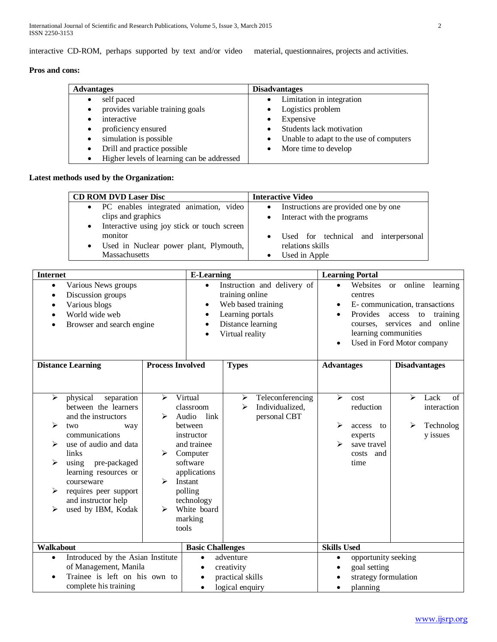interactive CD-ROM, perhaps supported by text and/or video material, questionnaires, projects and activities.

# **Pros and cons:**

| <b>Advantages</b>                             | <b>Disadvantages</b>                    |
|-----------------------------------------------|-----------------------------------------|
| self paced<br>$\bullet$                       | Limitation in integration               |
| provides variable training goals<br>$\bullet$ | Logistics problem                       |
| interactive                                   | Expensive                               |
| proficiency ensured<br>$\bullet$              | Students lack motivation                |
| simulation is possible<br>$\bullet$           | Unable to adapt to the use of computers |
| Drill and practice possible                   | More time to develop                    |
| Higher levels of learning can be addressed    |                                         |

# **Latest methods used by the Organization:**

| <b>CD ROM DVD Laser Disc</b>                             | <b>Interactive Video</b>                          |  |  |  |  |
|----------------------------------------------------------|---------------------------------------------------|--|--|--|--|
| • PC enables integrated animation, video                 | Instructions are provided one by one<br>٠         |  |  |  |  |
| clips and graphics                                       | • Interact with the programs                      |  |  |  |  |
| Interactive using joy stick or touch screen<br>$\bullet$ |                                                   |  |  |  |  |
| monitor                                                  | Used for technical and interpersonal<br>$\bullet$ |  |  |  |  |
| Used in Nuclear power plant, Plymouth,<br>$\bullet$      | relations skills                                  |  |  |  |  |
| <b>Massachusetts</b>                                     | Used in Apple                                     |  |  |  |  |

| <b>Internet</b>                                |                                                                                                                                                                                                                                                                               |                                           | <b>E-Learning</b>                                                                                                                                                                            |                                                                |                                                                                                                                                                                                                                            |                    | <b>Learning Portal</b>                                                           |                            |                                                    |
|------------------------------------------------|-------------------------------------------------------------------------------------------------------------------------------------------------------------------------------------------------------------------------------------------------------------------------------|-------------------------------------------|----------------------------------------------------------------------------------------------------------------------------------------------------------------------------------------------|----------------------------------------------------------------|--------------------------------------------------------------------------------------------------------------------------------------------------------------------------------------------------------------------------------------------|--------------------|----------------------------------------------------------------------------------|----------------------------|----------------------------------------------------|
| $\bullet$                                      | Various News groups<br>Discussion groups<br>Various blogs<br>World wide web<br>Browser and search engine                                                                                                                                                                      |                                           | Instruction and delivery of<br>$\bullet$<br>training online<br>Web based training<br>$\bullet$<br>Learning portals<br>$\bullet$<br>Distance learning<br>Virtual reality                      |                                                                | online<br>Websites<br><b>or</b><br>$\bullet$<br>centres<br>E-communication, transactions<br>$\bullet$<br>Provides<br>access<br>to<br>$\bullet$<br>and online<br>services<br>courses.<br>learning communities<br>Used in Ford Motor company |                    |                                                                                  | learning<br>training       |                                                    |
|                                                | <b>Distance Learning</b>                                                                                                                                                                                                                                                      | <b>Process Involved</b>                   |                                                                                                                                                                                              | <b>Types</b>                                                   |                                                                                                                                                                                                                                            | <b>Advantages</b>  |                                                                                  |                            | <b>Disadvantages</b>                               |
| $\blacktriangleright$<br>⋗<br>⋗<br>⋗<br>⋗<br>⋗ | physical<br>separation<br>between the learners<br>and the instructors<br>two<br>way<br>communications<br>use of audio and data<br>links<br>using<br>pre-packaged<br>learning resources or<br>courseware<br>requires peer support<br>and instructor help<br>used by IBM, Kodak | $\blacktriangleright$<br>⋗<br>➤<br>⋗<br>↘ | Virtual<br>classroom<br>Audio<br>link<br>between<br>instructor<br>and trainee<br>Computer<br>software<br>applications<br>Instant<br>polling<br>technology<br>White board<br>marking<br>tools | ➤<br>≻                                                         | Teleconferencing<br>Individualized,<br>personal CBT                                                                                                                                                                                        | ↘<br>➢<br>↘        | cost<br>reduction<br>access<br>to<br>experts<br>save travel<br>costs and<br>time | $\blacktriangleright$<br>➤ | Lack<br>of<br>interaction<br>Technolog<br>y issues |
| Walkabout                                      |                                                                                                                                                                                                                                                                               |                                           | <b>Basic Challenges</b>                                                                                                                                                                      |                                                                |                                                                                                                                                                                                                                            | <b>Skills Used</b> |                                                                                  |                            |                                                    |
| $\bullet$                                      | Introduced by the Asian Institute<br>of Management, Manila<br>Trainee is left on his own to<br>complete his training                                                                                                                                                          |                                           | $\bullet$<br>$\bullet$<br>$\bullet$<br>$\bullet$                                                                                                                                             | adventure<br>creativity<br>practical skills<br>logical enquiry |                                                                                                                                                                                                                                            |                    | opportunity seeking<br>goal setting<br>strategy formulation<br>planning          |                            |                                                    |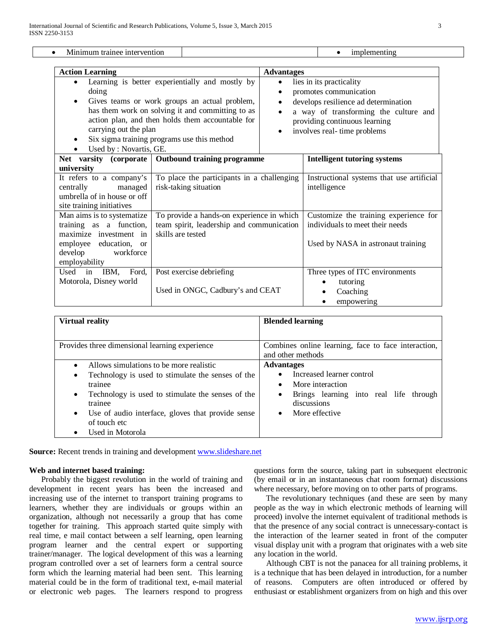| Minimum trainee intervention                               |                                                      |                                                   | implementing                              |  |  |
|------------------------------------------------------------|------------------------------------------------------|---------------------------------------------------|-------------------------------------------|--|--|
|                                                            |                                                      |                                                   |                                           |  |  |
| <b>Action Learning</b>                                     |                                                      | <b>Advantages</b>                                 |                                           |  |  |
|                                                            | Learning is better experientially and mostly by      | lies in its practicality<br>$\bullet$             |                                           |  |  |
| doing                                                      |                                                      | promotes communication                            |                                           |  |  |
| Gives teams or work groups an actual problem,<br>$\bullet$ |                                                      | develops resilience ad determination<br>$\bullet$ |                                           |  |  |
|                                                            | has them work on solving it and committing to as     | a way of transforming the culture and             |                                           |  |  |
| action plan, and then holds them accountable for           |                                                      | providing continuous learning                     |                                           |  |  |
| carrying out the plan                                      |                                                      | involves real-time problems                       |                                           |  |  |
| $\bullet$                                                  | Six sigma training programs use this method          |                                                   |                                           |  |  |
| Used by : Novartis, GE.                                    |                                                      |                                                   |                                           |  |  |
|                                                            | Net varsity (corporate   Outbound training programme |                                                   | <b>Intelligent tutoring systems</b>       |  |  |
| university                                                 |                                                      |                                                   |                                           |  |  |
| It refers to a company's                                   | To place the participants in a challenging           |                                                   | Instructional systems that use artificial |  |  |
| centrally<br>managed                                       | risk-taking situation                                |                                                   | intelligence                              |  |  |
| umbrella of in house or off                                |                                                      |                                                   |                                           |  |  |
| site training initiatives                                  |                                                      |                                                   |                                           |  |  |
| Man aims is to systematize                                 | To provide a hands-on experience in which            |                                                   | Customize the training experience for     |  |  |
| training as a function,                                    | team spirit, leadership and communication            |                                                   | individuals to meet their needs           |  |  |
| maximize investment in                                     | skills are tested                                    |                                                   |                                           |  |  |
| employee education, or                                     |                                                      |                                                   | Used by NASA in astronaut training        |  |  |
| develop<br>workforce                                       |                                                      |                                                   |                                           |  |  |
| employability                                              |                                                      |                                                   |                                           |  |  |
| IBM,<br>Ford,<br>Used in                                   | Post exercise debriefing                             |                                                   | Three types of ITC environments           |  |  |
| Motorola, Disney world                                     |                                                      |                                                   | tutoring                                  |  |  |
|                                                            | Used in ONGC, Cadbury's and CEAT                     |                                                   | Coaching                                  |  |  |
|                                                            |                                                      |                                                   | empowering<br>٠                           |  |  |

| <b>Virtual reality</b>                                                                                                                                                                                                                                                                           | <b>Blended learning</b>                                                                                                                                                      |  |  |  |  |  |
|--------------------------------------------------------------------------------------------------------------------------------------------------------------------------------------------------------------------------------------------------------------------------------------------------|------------------------------------------------------------------------------------------------------------------------------------------------------------------------------|--|--|--|--|--|
| Provides three dimensional learning experience                                                                                                                                                                                                                                                   | Combines online learning, face to face interaction,<br>and other methods                                                                                                     |  |  |  |  |  |
| Allows simulations to be more realistic<br>Technology is used to stimulate the senses of the<br>٠<br>trainee<br>Technology is used to stimulate the senses of the<br>$\bullet$<br>trainee<br>Use of audio interface, gloves that provide sense<br>$\bullet$<br>of touch etc.<br>Used in Motorola | <b>Advantages</b><br>Increased learner control<br>More interaction<br>$\bullet$<br>Brings learning into real life through<br>٠<br>discussions<br>More effective<br>$\bullet$ |  |  |  |  |  |

**Source:** Recent trends in training and developmen[t www.slideshare.net](http://www.slideshare.net/)

#### **Web and internet based training:**

 Probably the biggest revolution in the world of training and development in recent years has been the increased and increasing use of the internet to transport training programs to learners, whether they are individuals or groups within an organization, although not necessarily a group that has come together for training. This approach started quite simply with real time, e mail contact between a self learning, open learning program learner and the central expert or supporting trainer/manager. The logical development of this was a learning program controlled over a set of learners form a central source form which the learning material had been sent. This learning material could be in the form of traditional text, e-mail material or electronic web pages. The learners respond to progress questions form the source, taking part in subsequent electronic (by email or in an instantaneous chat room format) discussions where necessary, before moving on to other parts of programs.

 The revolutionary techniques (and these are seen by many people as the way in which electronic methods of learning will proceed) involve the internet equivalent of traditional methods is that the presence of any social contract is unnecessary-contact is the interaction of the learner seated in front of the computer visual display unit with a program that originates with a web site any location in the world.

 Although CBT is not the panacea for all training problems, it is a technique that has been delayed in introduction, for a number of reasons. Computers are often introduced or offered by enthusiast or establishment organizers from on high and this over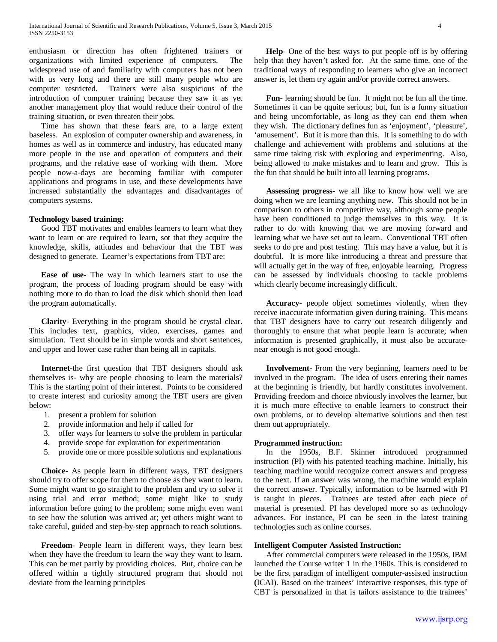enthusiasm or direction has often frightened trainers or organizations with limited experience of computers. The widespread use of and familiarity with computers has not been with us very long and there are still many people who are computer restricted. Trainers were also suspicious of the introduction of computer training because they saw it as yet another management ploy that would reduce their control of the training situation, or even threaten their jobs.

 Time has shown that these fears are, to a large extent baseless. An explosion of computer ownership and awareness, in homes as well as in commerce and industry, has educated many more people in the use and operation of computers and their programs, and the relative ease of working with them. More people now-a-days are becoming familiar with computer applications and programs in use, and these developments have increased substantially the advantages and disadvantages of computers systems.

#### **Technology based training:**

 Good TBT motivates and enables learners to learn what they want to learn or are required to learn, sot that they acquire the knowledge, skills, attitudes and behaviour that the TBT was designed to generate. Learner's expectations from TBT are:

 **Ease of use**- The way in which learners start to use the program, the process of loading program should be easy with nothing more to do than to load the disk which should then load the program automatically.

 **Clarity**- Everything in the program should be crystal clear. This includes text, graphics, video, exercises, games and simulation. Text should be in simple words and short sentences, and upper and lower case rather than being all in capitals.

 **Internet**-the first question that TBT designers should ask themselves is- why are people choosing to learn the materials? This is the starting point of their interest. Points to be considered to create interest and curiosity among the TBT users are given below:

- 1. present a problem for solution
- 2. provide information and help if called for
- 3. offer ways for learners to solve the problem in particular
- 4. provide scope for exploration for experimentation
- 5. provide one or more possible solutions and explanations

 **Choice**- As people learn in different ways, TBT designers should try to offer scope for them to choose as they want to learn. Some might want to go straight to the problem and try to solve it using trial and error method; some might like to study information before going to the problem; some might even want to see how the solution was arrived at; yet others might want to take careful, guided and step-by-step approach to reach solutions.

 **Freedom**- People learn in different ways, they learn best when they have the freedom to learn the way they want to learn. This can be met partly by providing choices. But, choice can be offered within a tightly structured program that should not deviate from the learning principles

 **Help**- One of the best ways to put people off is by offering help that they haven't asked for. At the same time, one of the traditional ways of responding to learners who give an incorrect answer is, let them try again and/or provide correct answers.

 **Fun**- learning should be fun. It might not be fun all the time. Sometimes it can be qquite serious; but, fun is a funny situation and being uncomfortable, as long as they can end them when they wish. The dictionary defines fun as 'enjoyment', 'pleasure', 'amusement'. But it is more than this. It is something to do with challenge and achievement with problems and solutions at the same time taking risk with exploring and experimenting. Also, being allowed to make mistakes and to learn and grow. This is the fun that should be built into all learning programs.

 **Assessing progress**- we all like to know how well we are doing when we are learning anything new. This should not be in comparison to others in competitive way, although some people have been conditioned to judge themselves in this way. It is rather to do with knowing that we are moving forward and learning what we have set out to learn. Conventional TBT often seeks to do pre and post testing. This may have a value, but it is doubtful. It is more like introducing a threat and pressure that will actually get in the way of free, enjoyable learning. Progress can be assessed by individuals choosing to tackle problems which clearly become increasingly difficult.

 **Accuracy**- people object sometimes violently, when they receive inaccurate information given during training. This means that TBT designers have to carry out research diligently and thoroughly to ensure that what people learn is accurate; when information is presented graphically, it must also be accuratenear enough is not good enough.

 **Involvement**- From the very beginning, learners need to be involved in the program. The idea of users entering their names at the beginning is friendly, but hardly constitutes involvement. Providing freedom and choice obviously involves the learner, but it is much more effective to enable learners to construct their own problems, or to develop alternative solutions and then test them out appropriately.

#### **Programmed instruction:**

 In the 1950s, B.F. Skinner introduced programmed instruction (PI) with his patented teaching machine. Initially, his teaching machine would recognize correct answers and progress to the next. If an answer was wrong, the machine would explain the correct answer. Typically, information to be learned with PI is taught in pieces. Trainees are tested after each piece of material is presented. PI has developed more so as technology advances. For instance, PI can be seen in the latest training technologies such as online courses.

### **Intelligent Computer Assisted Instruction:**

 After commercial computers were released in the 1950s, IBM launched the Course writer 1 in the 1960s. This is considered to be the first paradigm of intelligent computer-assisted instruction **(**ICAI). Based on the trainees' interactive responses, this type of CBT is personalized in that is tailors assistance to the trainees'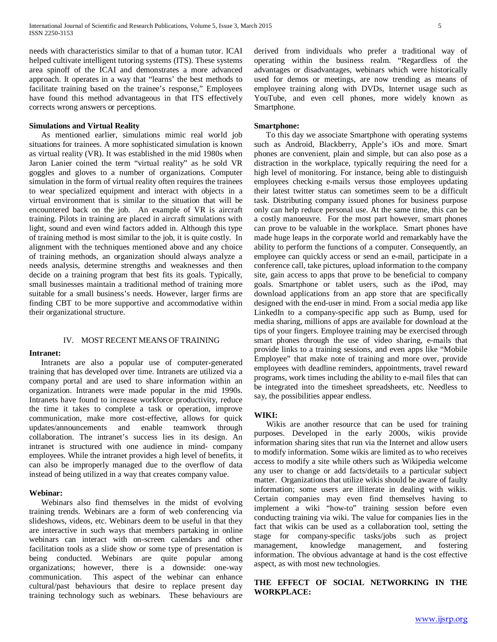needs with characteristics similar to that of a human tutor. ICAI helped cultivate intelligent tutoring systems (ITS). These systems area spinoff of the ICAI and demonstrates a more advanced approach. It operates in a way that "learns' the best methods to facilitate training based on the trainee's response," Employees have found this method advantageous in that ITS effectively corrects wrong answers or perceptions.

#### **Simulations and Virtual Reality**

 As mentioned earlier, simulations mimic real world job situations for trainees. A more sophisticated simulation is known as virtual reality (VR). It was established in the mid 1980s when Jaron Lanier coined the term "virtual reality" as he sold VR goggles and gloves to a number of organizations. Computer simulation in the form of virtual reality often requires the trainees to wear specialized equipment and interact with objects in a virtual environment that is similar to the situation that will be encountered back on the job. An example of VR is aircraft training. Pilots in training are placed in aircraft simulations with light, sound and even wind factors added in. Although this type of training method is most similar to the job, it is quite costly. In alignment with the techniques mentioned above and any choice of training methods, an organization should always analyze a needs analysis, determine strengths and weaknesses and then decide on a training program that best fits its goals. Typically, small businesses maintain a traditional method of training more suitable for a small business's needs. However, larger firms are finding CBT to be more supportive and accommodative within their organizational structure.

#### IV. MOST RECENT MEANS OF TRAINING

#### **Intranet:**

 Intranets are also a popular use of computer-generated training that has developed over time. Intranets are utilized via a company portal and are used to share information within an organization. Intranets were made popular in the mid 1990s. Intranets have found to increase workforce productivity, reduce the time it takes to complete a task or operation, improve communication, make more cost-effective, allows for quick updates/announcements and enable teamwork through collaboration. The intranet's success lies in its design. An intranet is structured with one audience in mind- company employees. While the intranet provides a high level of benefits, it can also be improperly managed due to the overflow of data instead of being utilized in a way that creates company value.

#### **Webinar:**

 Webinars also find themselves in the midst of evolving training trends. Webinars are a form of web conferencing via slideshows, videos, etc. Webinars deem to be useful in that they are interactive in such ways that members partaking in online webinars can interact with on-screen calendars and other facilitation tools as a slide show or some type of presentation is being conducted. Webinars are quite popular among organizations; however, there is a downside: one-way communication. This aspect of the webinar can enhance cultural/past behaviours that desire to replace present day training technology such as webinars. These behaviours are

derived from individuals who prefer a traditional way of operating within the business realm. "Regardless of the advantages or disadvantages, webinars which were historically used for demos or meetings, are now trending as means of employee training along with DVDs, Internet usage such as YouTube, and even cell phones, more widely known as Smartphone.

### **Smartphone:**

 To this day we associate Smartphone with operating systems such as Android, Blackberry, Apple's iOs and more. Smart phones are convenient, plain and simple, but can also pose as a distraction in the workplace, typically requiring the need for a high level of monitoring. For instance, being able to distinguish employees checking e-mails versus those employees updating their latest twitter status can sometimes seem to be a difficult task. Distributing company issued phones for business purpose only can help reduce personal use. At the same time, this can be a costly manoeuvre. For the most part however, smart phones can prove to be valuable in the workplace. Smart phones have made huge leaps in the corporate world and remarkably have the ability to perform the functions of a computer. Consequently, an employee can quickly access or send an e-mail, participate in a conference call, take pictures, upload information to the company site, gain access to apps that prove to be beneficial to company goals. Smartphone or tablet users, such as the iPod, may download applications from an app store that are specifically designed with the end-user in mind. From a social media app like LinkedIn to a company-specific app such as Bump, used for media sharing, millions of apps are available for download at the tips of your fingers. Employee training may be exercised through smart phones through the use of video sharing, e-mails that provide links to a training sessions, and even apps like "Mobile Employee" that make note of training and more over, provide employees with deadline reminders, appointments, travel reward programs, work times including the ability to e-mail files that can be integrated into the timesheet spreadsheets, etc. Needless to say, the possibilities appear endless.

#### **WIKI:**

 Wikis are another resource that can be used for training purposes. Developed in the early 2000s, wikis provide information sharing sites that run via the Internet and allow users to modify information. Some wikis are limited as to who receives access to modify a site while others such as Wikipedia welcome any user to change or add facts/details to a particular subject matter. Organizations that utilize wikis should be aware of faulty information; some users are illiterate in dealing with wikis. Certain companies may even find themselves having to implement a wiki "how-to" training session before even conducting training via wiki. The value for companies lies in the fact that wikis can be used as a collaboration tool, setting the stage for company-specific tasks/jobs such as project management, knowledge management, and fostering information. The obvious advantage at hand is the cost effective aspect, as with most new technologies.

# **THE EFFECT OF SOCIAL NETWORKING IN THE WORKPLACE:**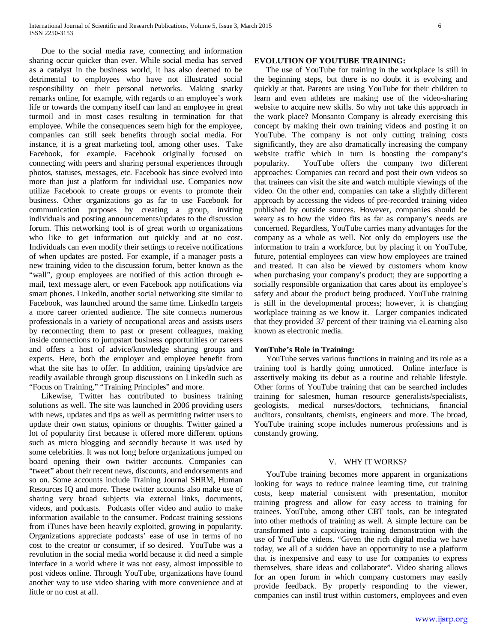Due to the social media rave, connecting and information sharing occur quicker than ever. While social media has served as a catalyst in the business world, it has also deemed to be detrimental to employees who have not illustrated social responsibility on their personal networks. Making snarky remarks online, for example, with regards to an employee's work life or towards the company itself can land an employee in great turmoil and in most cases resulting in termination for that employee. While the consequences seem high for the employee, companies can still seek benefits through social media. For instance, it is a great marketing tool, among other uses. Take Facebook, for example. Facebook originally focused on connecting with peers and sharing personal experiences through photos, statuses, messages, etc. Facebook has since evolved into more than just a platform for individual use. Companies now utilize Facebook to create groups or events to promote their business. Other organizations go as far to use Facebook for communication purposes by creating a group, inviting individuals and posting announcements/updates to the discussion forum. This networking tool is of great worth to organizations who like to get information out quickly and at no cost. Individuals can even modify their settings to receive notifications of when updates are posted. For example, if a manager posts a new training video to the discussion forum, better known as the "wall", group employees are notified of this action through email, text message alert, or even Facebook app notifications via smart phones. LinkedIn, another social networking site similar to Facebook, was launched around the same time. LinkedIn targets a more career oriented audience. The site connects numerous professionals in a variety of occupational areas and assists users by reconnecting them to past or present colleagues, making inside connections to jumpstart business opportunities or careers and offers a host of advice/knowledge sharing groups and experts. Here, both the employer and employee benefit from what the site has to offer. In addition, training tips/advice are readily available through group discussions on LinkedIn such as "Focus on Training," "Training Principles" and more.

 Likewise, Twitter has contributed to business training solutions as well. The site was launched in 2006 providing users with news, updates and tips as well as permitting twitter users to update their own status, opinions or thoughts. Twitter gained a lot of popularity first because it offered more different options such as micro blogging and secondly because it was used by some celebrities. It was not long before organizations jumped on board opening their own twitter accounts. Companies can "tweet" about their recent news, discounts, and endorsements and so on. Some accounts include Training Journal SHRM, Human Resources IQ and more. These twitter accounts also make use of sharing very broad subjects via external links, documents, videos, and podcasts. Podcasts offer video and audio to make information available to the consumer. Podcast training sessions from iTunes have been heavily exploited, growing in popularity. Organizations appreciate podcasts' ease of use in terms of no cost to the creator or consumer, if so desired. YouTube was a revolution in the social media world because it did need a simple interface in a world where it was not easy, almost impossible to post videos online. Through YouTube, organizations have found another way to use video sharing with more convenience and at little or no cost at all.

#### **EVOLUTION OF YOUTUBE TRAINING:**

 The use of YouTube for training in the workplace is still in the beginning steps, but there is no doubt it is evolving and quickly at that. Parents are using YouTube for their children to learn and even athletes are making use of the video-sharing website to acquire new skills. So why not take this approach in the work place? Monsanto Company is already exercising this concept by making their own training videos and posting it on YouTube. The company is not only cutting training costs significantly, they are also dramatically increasing the company website traffic which in turn is boosting the company's popularity. YouTube offers the company two different approaches: Companies can record and post their own videos so that trainees can visit the site and watch multiple viewings of the video. On the other end, companies can take a slightly different approach by accessing the videos of pre-recorded training video published by outside sources. However, companies should be weary as to how the video fits as far as company's needs are concerned. Regardless, YouTube carries many advantages for the company as a whole as well. Not only do employers use the information to train a workforce, but by placing it on YouTube, future, potential employees can view how employees are trained and treated. It can also be viewed by customers whom know when purchasing your company's product; they are supporting a socially responsible organization that cares about its employee's safety and about the product being produced. YouTube training is still in the developmental process; however, it is changing workplace training as we know it. Larger companies indicated that they provided 37 percent of their training via eLearning also known as electronic media.

#### **YouTube's Role in Training:**

 YouTube serves various functions in training and its role as a training tool is hardly going unnoticed. Online interface is assertively making its debut as a routine and reliable lifestyle. Other forms of YouTube training that can be searched includes training for salesmen, human resource generalists/specialists, geologists, medical nurses/doctors, technicians, financial auditors, consultants, chemists, engineers and more. The broad, YouTube training scope includes numerous professions and is constantly growing.

#### V. WHY IT WORKS?

 YouTube training becomes more apparent in organizations looking for ways to reduce trainee learning time, cut training costs, keep material consistent with presentation, monitor training progress and allow for easy access to training for trainees. YouTube, among other CBT tools, can be integrated into other methods of training as well. A simple lecture can be transformed into a captivating training demonstration with the use of YouTube videos. "Given the rich digital media we have today, we all of a sudden have an opportunity to use a platform that is inexpensive and easy to use for companies to express themselves, share ideas and collaborate". Video sharing allows for an open forum in which company customers may easily provide feedback. By properly responding to the viewer, companies can instil trust within customers, employees and even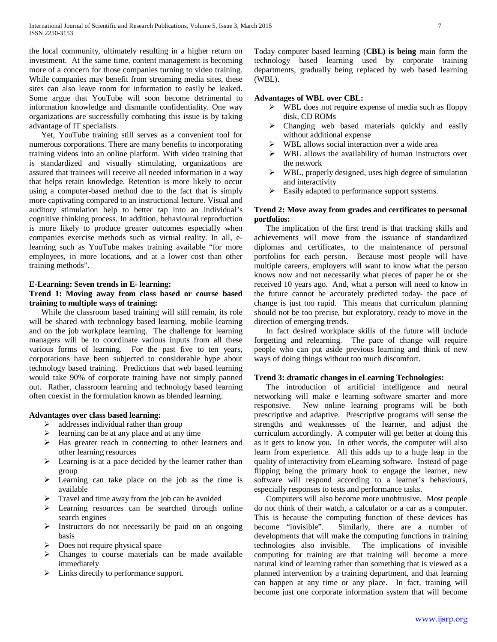the local community, ultimately resulting in a higher return on investment. At the same time, content management is becoming more of a concern for those companies turning to video training. While companies may benefit from streaming media sites, these sites can also leave room for information to easily be leaked. Some argue that YouTube will soon become detrimental to information knowledge and dismantle confidentiality. One way organizations are successfully combating this issue is by taking advantage of IT specialists.

 Yet, YouTube training still serves as a convenient tool for numerous corporations. There are many benefits to incorporating training videos into an online platform. With video training that is standardized and visually stimulating, organizations are assured that trainees will receive all needed information in a way that helps retain knowledge. Retention is more likely to occur using a computer-based method due to the fact that is simply more captivating compared to an instructional lecture. Visual and auditory stimulation help to better tap into an individual's cognitive thinking process. In addition, behavioural reproduction is more likely to produce greater outcomes especially when companies exercise methods such as virtual reality. In all, elearning such as YouTube makes training available "for more employees, in more locations, and at a lower cost than other training methods".

#### **E-Learning: Seven trends in E- learning:**

# **Trend 1: Moving away from class based or course based training to multiple ways of training:**

 While the classroom based training will still remain, its role will be shared with technology based learning, mobile learning and on the job workplace learning. The challenge for learning managers will be to coordinate various inputs from all these various forms of learning. For the past five to ten years, corporations have been subjected to considerable hype about technology based training. Predictions that web based learning would take 90% of corporate training have not simply panned out. Rather, classroom learning and technology based learning often coexist in the formulation known as blended learning.

# **Advantages over class based learning:**

- $\triangleright$  addresses individual rather than group
- $\triangleright$  learning can be at any place and at any time
- $\triangleright$  Has greater reach in connecting to other learners and other learning resources
- $\triangleright$  Learning is at a pace decided by the learner rather than group
- $\triangleright$  Learning can take place on the job as the time is available
- $\triangleright$  Travel and time away from the job can be avoided
- Learning resources can be searched through online search engines
- $\triangleright$  Instructors do not necessarily be paid on an ongoing basis
- $\triangleright$  Does not require physical space
- $\triangleright$  Changes to course materials can be made available immediately
- $\triangleright$  Links directly to performance support.

Today computer based learning (**CBL) is being** main form the technology based learning used by corporate training departments, gradually being replaced by web based learning (WBL).

# **Advantages of WBL over CBL:**

- WBL does not require expense of media such as floppy disk, CD ROMs
- $\triangleright$  Changing web based materials quickly and easily without additional expense
- $\triangleright$  WBL allows social interaction over a wide area
- $\triangleright$  WBL allows the availability of human instructors over the network
- $\triangleright$  WBL, properly designed, uses high degree of simulation and interactivity
- Easily adapted to performance support systems.

# **Trend 2: Move away from grades and certificates to personal portfolios:**

 The implication of the first trend is that tracking skills and achievements will move from the issuance of standardized diplomas and certificates, to the maintenance of personal portfolios for each person. Because most people will have multiple careers, employers will want to know what the person knows now and not necessarily what pieces of paper he or she received 10 years ago. And, what a person will need to know in the future cannot be accurately predicted today- the pace of change is just too rapid. This means that curriculum planning should not be too precise, but exploratory, ready to move in the direction of emerging trends.

 In fact desired workplace skills of the future will include forgetting and relearning. The pace of change will require people who can put aside previous learning and think of new ways of doing things without too much discomfort.

# **Trend 3: dramatic changes in eLearning Technologies:**

 The introduction of artificial intelligence and neural networking will make e learning software smarter and more responsive. New online learning programs will be both prescriptive and adaptive. Prescriptive programs will sense the strengths and weaknesses of the learner, and adjust the curriculum accordingly. A computer will get better at doing this as it gets to know you. In other words, the computer will also learn from experience. All this adds up to a huge leap in the quality of interactivity from eLearning software. Instead of page flipping being the primary hook to engage the learner, new software will respond according to a learner's behaviours, especially responses to tests and performance tasks.

 Computers will also become more unobtrusive. Most people do not think of their watch, a calculator or a car as a computer. This is because the computing function of these devices has become "invisible". Similarly, there are a number of developments that will make the computing functions in training technologies also invisible. The implications of invisible computing for training are that training will become a more natural kind of learning rather than something that is viewed as a planned intervention by a training department, and that learning can happen at any time or any place. In fact, training will become just one corporate information system that will become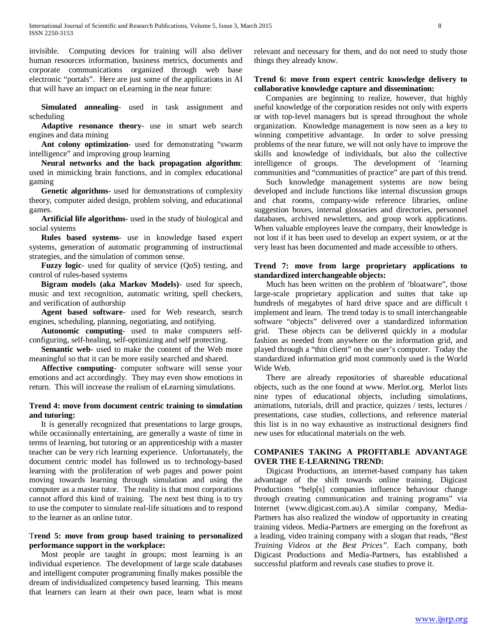invisible. Computing devices for training will also deliver human resources information, business metrics, documents and corporate communications organized through web base electronic "portals". Here are just some of the applications in AI that will have an impact on eLearning in the near future:

 **Simulated annealing**- used in task assignment and scheduling

 **Adaptive resonance theory**- use in smart web search engines and data mining

 **Ant colony optimization**- used for demonstrating "swarm intelligence" and improving group learning

 **Neural networks and the back propagation algorithm**: used in mimicking brain functions, and in complex educational gaming

 **Genetic algorithms**- used for demonstrations of complexity theory, computer aided design, problem solving, and educational games.

 **Artificial life algorithms**- used in the study of biological and social systems

 **Rules based systems**- use in knowledge based expert systems, generation of automatic programming of instructional strategies, and the simulation of common sense.

 **Fuzzy logic**- used for quality of service (QoS) testing, and control of rules-based systems

 **Bigram models (aka Markov Models)**- used for speech, music and text recognition, automatic writing, spell checkers, and verification of authorship

 **Agent based software**- used for Web research, search engines, scheduling, planning, negotiating, and notifying.

 **Autonomic computing**- used to make computers selfconfiguring, self-healing, self-optimizing and self protecting.

**Semantic web**- used to make the content of the Web more meaningful so that it can be more easily searched and shared.

 **Affective computing**- computer software will sense your emotions and act accordingly. They may even show emotions in return. This will increase the realism of eLearning simulations.

# **Trend 4: move from document centric training to simulation and tutoring:**

 It is generally recognized that presentations to large groups, while occasionally entertaining, are generally a waste of time in terms of learning, but tutoring or an apprenticeship with a master teacher can be very rich learning experience. Unfortunately, the document centric model has followed us to technology-based learning with the proliferation of web pages and power point moving towards learning through simulation and using the computer as a master tutor. The reality is that most corporations cannot afford this kind of training. The next best thing is to try to use the computer to simulate real-life situations and to respond to the learner as an online tutor.

# T**rend 5: move from group based training to personalized performance support in the workplace:**

 Most people are taught in groups; most learning is an individual experience. The development of large scale databases and intelligent computer programming finally makes possible the dream of individualized competency based learning. This means that learners can learn at their own pace, learn what is most relevant and necessary for them, and do not need to study those things they already know.

# **Trend 6: move from expert centric knowledge delivery to collaborative knowledge capture and dissemination:**

 Companies are beginning to realize, however, that highly useful knowledge of the corporation resides not only with experts or with top-level managers but is spread throughout the whole organization. Knowledge management is now seen as a key to winning competitive advantage. In order to solve pressing problems of the near future, we will not only have to improve the skills and knowledge of individuals, but also the collective intelligence of groups. The development of 'learning The development of 'learning. communities and "communities of practice" are part of this trend.

 Such knowledge management systems are now being developed and include functions like internal discussion groups and chat rooms, company-wide reference libraries, online suggestion boxes, internal glossaries and directories, personnel databases, archived newsletters, and group work applications. When valuable employees leave the company, their knowledge is not lost if it has been used to develop an expert system, or at the very least has been documented and made accessible to others.

# **Trend 7: move from large proprietary applications to standardized interchangeable objects:**

 Much has been written on the problem of 'bloatware", those large-scale proprietary application and suites that take up hundreds of megabytes of hard drive space and are difficult t implement and learn. The trend today is to small interchangeable software "objects" delivered over a standardized information grid. These objects can be delivered quickly in a modular fashion as needed from anywhere on the information grid, and played through a "thin client" on the user's computer. Today the standardized information grid most commonly used is the World Wide Web.

 There are already repositories of shareable educational objects, such as the one found at www. Merlot.org. Merlot lists nine types of educational objects, including simulations, animations, tutorials, drill and practice, quizzes / tests, lectures / presentations, case studies, collections, and reference material this list is in no way exhaustive as instructional designers find new uses for educational materials on the web.

# **COMPANIES TAKING A PROFITABLE ADVANTAGE OVER THE E-LEARNING TREND:**

 Digicast Productions, an internet-based company has taken advantage of the shift towards online training. Digicast Productions "help[s] companies influence behaviour change through creating communication and training programs" via Internet (www.digicast.com.au).A similar company, Media-Partners has also realized the window of opportunity in creating training videos. Media-Partners are emerging on the forefront as a leading, video training company with a slogan that reads, "*Best Training Videos at the Best Prices".* Each company, both Digicast Productions and Media-Partners, has established a successful platform and reveals case studies to prove it.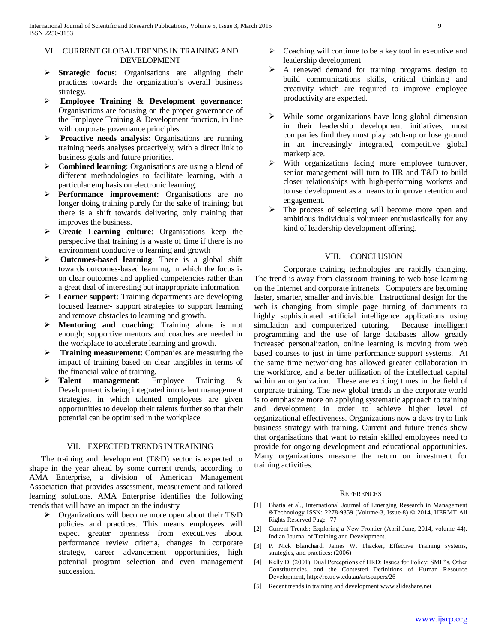## VI. CURRENT GLOBAL TRENDS IN TRAINING AND DEVELOPMENT

- **Strategic focus**: Organisations are aligning their practices towards the organization's overall business strategy.
- **Employee Training & Development governance**: Organisations are focusing on the proper governance of the Employee Training & Development function, in line with corporate governance principles.
- **Proactive needs analysis**: Organisations are running training needs analyses proactively, with a direct link to business goals and future priorities.
- **Combined learning**: Organisations are using a blend of different methodologies to facilitate learning, with a particular emphasis on electronic learning.
- Performance improvement: Organisations are no longer doing training purely for the sake of training; but there is a shift towards delivering only training that improves the business.
- **Create Learning culture**: Organisations keep the perspective that training is a waste of time if there is no environment conducive to learning and growth
- **Outcomes-based learning**: There is a global shift towards outcomes-based learning, in which the focus is on clear outcomes and applied competencies rather than a great deal of interesting but inappropriate information.
- **Learner support**: Training departments are developing focused learner- support strategies to support learning and remove obstacles to learning and growth.
- **Mentoring and coaching**: Training alone is not enough; supportive mentors and coaches are needed in the workplace to accelerate learning and growth.
- **Training measurement**: Companies are measuring the impact of training based on clear tangibles in terms of the financial value of training.
- **Talent management**: Employee Training & Development is being integrated into talent management strategies, in which talented employees are given opportunities to develop their talents further so that their potential can be optimised in the workplace

# VII. EXPECTED TRENDS IN TRAINING

 The training and development (T&D) sector is expected to shape in the year ahead by some current trends, according to AMA Enterprise, a division of American Management Association that provides assessment, measurement and tailored learning solutions. AMA Enterprise identifies the following trends that will have an impact on the industry

 $\triangleright$  Organizations will become more open about their T&D policies and practices. This means employees will expect greater openness from executives about performance review criteria, changes in corporate strategy, career advancement opportunities, high potential program selection and even management succession.

- $\triangleright$  Coaching will continue to be a key tool in executive and leadership development
- $\triangleright$  A renewed demand for training programs design to build communications skills, critical thinking and creativity which are required to improve employee productivity are expected.
- $\triangleright$  While some organizations have long global dimension in their leadership development initiatives, most companies find they must play catch-up or lose ground in an increasingly integrated, competitive global marketplace.
- $\triangleright$  With organizations facing more employee turnover, senior management will turn to HR and T&D to build closer relationships with high-performing workers and to use development as a means to improve retention and engagement.
- The process of selecting will become more open and ambitious individuals volunteer enthusiastically for any kind of leadership development offering.

### VIII. CONCLUSION

Corporate training technologies are rapidly changing. The trend is away from classroom training to web base learning on the Internet and corporate intranets. Computers are becoming faster, smarter, smaller and invisible. Instructional design for the web is changing from simple page turning of documents to highly sophisticated artificial intelligence applications using simulation and computerized tutoring. Because intelligent programming and the use of large databases allow greatly increased personalization, online learning is moving from web based courses to just in time performance support systems. At the same time networking has allowed greater collaboration in the workforce, and a better utilization of the intellectual capital within an organization. These are exciting times in the field of corporate training. The new global trends in the corporate world is to emphasize more on applying systematic approach to training and development in order to achieve higher level of organizational effectiveness. Organizations now a days try to link business strategy with training. Current and future trends show that organisations that want to retain skilled employees need to provide for ongoing development and educational opportunities. Many organizations measure the return on investment for training activities.

#### **REFERENCES**

- [1] Bhatia et al., International Journal of Emerging Research in Management &Technology ISSN: 2278-9359 (Volume-3, Issue-8) © 2014, IJERMT All Rights Reserved Page | 77
- [2] Current Trends: Exploring a New Frontier (April-June, 2014, volume 44). Indian Journal of Training and Development.
- [3] P. Nick Blanchard, James W. Thacker, Effective Training systems, strategies, and practices: (2006)
- [4] Kelly D. (2001). Dual Perceptions of HRD: Issues for Policy: SME"s, Other Constituencies, and the Contested Definitions of Human Resource Development, http://ro.uow.edu.au/artspapers/26
- [5] Recent trends in training and development www.slideshare.net